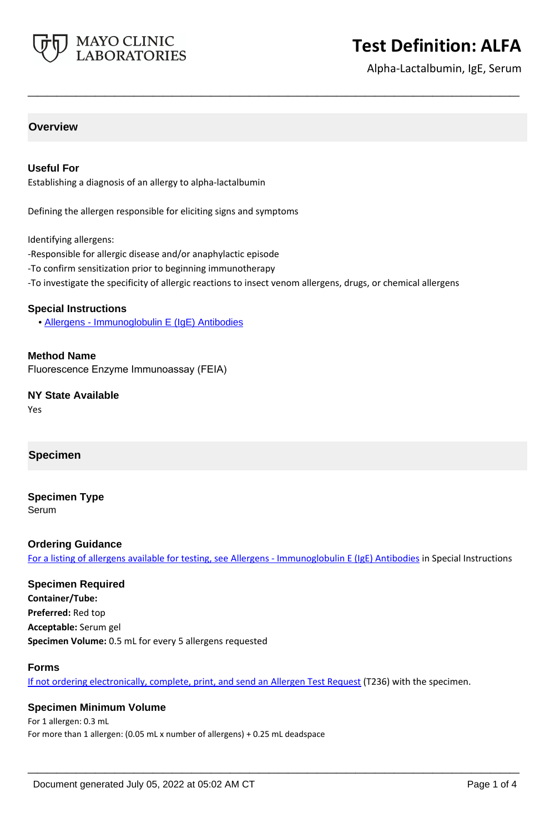

# **Test Definition: ALFA**

Alpha-Lactalbumin, IgE, Serum

## **Overview**

## **Useful For**

Establishing a diagnosis of an allergy to alpha-lactalbumin

Defining the allergen responsible for eliciting signs and symptoms

Identifying allergens:

- -Responsible for allergic disease and/or anaphylactic episode
- -To confirm sensitization prior to beginning immunotherapy
- -To investigate the specificity of allergic reactions to insect venom allergens, drugs, or chemical allergens

**\_\_\_\_\_\_\_\_\_\_\_\_\_\_\_\_\_\_\_\_\_\_\_\_\_\_\_\_\_\_\_\_\_\_\_\_\_\_\_\_\_\_\_\_\_\_\_\_\_\_\_**

#### **Special Instructions**

• [Allergens - Immunoglobulin E \(IgE\) Antibodies](https://www.mayocliniclabs.com/it-mmfiles/Allergens-IgE_Antibodies.pdf)

**Method Name** Fluorescence Enzyme Immunoassay (FEIA)

**NY State Available** Yes

## **Specimen**

**Specimen Type**

Serum

#### **Ordering Guidance**

For a listing of allergens available for testing, see [Allergens - Immunoglobulin E \(IgE\) Antibodies](https://www.mayocliniclabs.com/it-mmfiles/Allergens-IgE_Antibodies.pdf) in Special Instructions

## **Specimen Required**

**Container/Tube: Preferred:** Red top **Acceptable:** Serum gel **Specimen Volume:** 0.5 mL for every 5 allergens requested

#### **Forms**

If not ordering electronically, complete, print, and send an [Allergen Test Request](https://www.mayocliniclabs.com/it-mmfiles/allergen-test-request-form.pdf) (T236) with the specimen.

**\_\_\_\_\_\_\_\_\_\_\_\_\_\_\_\_\_\_\_\_\_\_\_\_\_\_\_\_\_\_\_\_\_\_\_\_\_\_\_\_\_\_\_\_\_\_\_\_\_\_\_**

#### **Specimen Minimum Volume**

For 1 allergen: 0.3 mL For more than 1 allergen: (0.05 mL x number of allergens) + 0.25 mL deadspace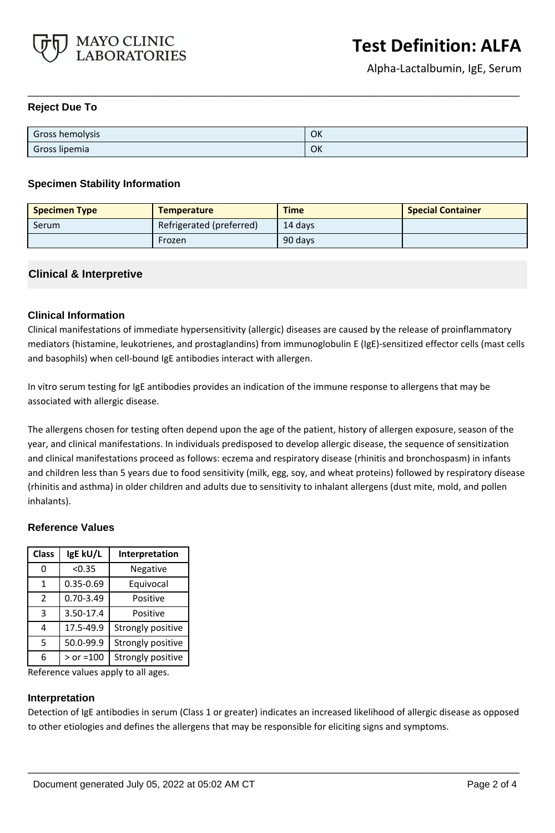

## **Reject Due To**

| Gross hemolysis | OK |
|-----------------|----|
| Gross lipemia   | OK |

**\_\_\_\_\_\_\_\_\_\_\_\_\_\_\_\_\_\_\_\_\_\_\_\_\_\_\_\_\_\_\_\_\_\_\_\_\_\_\_\_\_\_\_\_\_\_\_\_\_\_\_**

## **Specimen Stability Information**

| <b>Specimen Type</b> | <b>Temperature</b>       | <b>Time</b> | <b>Special Container</b> |
|----------------------|--------------------------|-------------|--------------------------|
| Serum                | Refrigerated (preferred) | 14 davs     |                          |
|                      | Frozen                   | 90 days     |                          |

## **Clinical & Interpretive**

## **Clinical Information**

Clinical manifestations of immediate hypersensitivity (allergic) diseases are caused by the release of proinflammatory mediators (histamine, leukotrienes, and prostaglandins) from immunoglobulin E (IgE)-sensitized effector cells (mast cells and basophils) when cell-bound IgE antibodies interact with allergen.

In vitro serum testing for IgE antibodies provides an indication of the immune response to allergens that may be associated with allergic disease.

The allergens chosen for testing often depend upon the age of the patient, history of allergen exposure, season of the year, and clinical manifestations. In individuals predisposed to develop allergic disease, the sequence of sensitization and clinical manifestations proceed as follows: eczema and respiratory disease (rhinitis and bronchospasm) in infants and children less than 5 years due to food sensitivity (milk, egg, soy, and wheat proteins) followed by respiratory disease (rhinitis and asthma) in older children and adults due to sensitivity to inhalant allergens (dust mite, mold, and pollen inhalants).

## **Reference Values**

| <b>Class</b>  | IgE kU/L      | Interpretation    |
|---------------|---------------|-------------------|
| 0             | < 0.35        | Negative          |
| 1             | $0.35 - 0.69$ | Equivocal         |
| $\mathcal{P}$ | $0.70 - 3.49$ | Positive          |
| 3             | 3.50-17.4     | Positive          |
| 4             | 17.5-49.9     | Strongly positive |
| 5             | 50.0-99.9     | Strongly positive |
| 6             | $>$ or =100   | Strongly positive |

Reference values apply to all ages.

#### **Interpretation**

Detection of IgE antibodies in serum (Class 1 or greater) indicates an increased likelihood of allergic disease as opposed to other etiologies and defines the allergens that may be responsible for eliciting signs and symptoms.

**\_\_\_\_\_\_\_\_\_\_\_\_\_\_\_\_\_\_\_\_\_\_\_\_\_\_\_\_\_\_\_\_\_\_\_\_\_\_\_\_\_\_\_\_\_\_\_\_\_\_\_**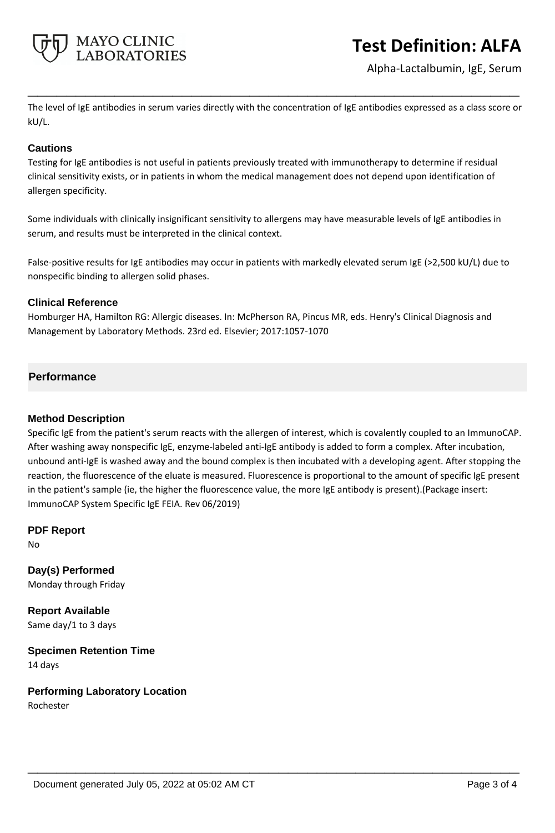

# **Test Definition: ALFA**

Alpha-Lactalbumin, IgE, Serum

The level of IgE antibodies in serum varies directly with the concentration of IgE antibodies expressed as a class score or kU/L.

**\_\_\_\_\_\_\_\_\_\_\_\_\_\_\_\_\_\_\_\_\_\_\_\_\_\_\_\_\_\_\_\_\_\_\_\_\_\_\_\_\_\_\_\_\_\_\_\_\_\_\_**

## **Cautions**

Testing for IgE antibodies is not useful in patients previously treated with immunotherapy to determine if residual clinical sensitivity exists, or in patients in whom the medical management does not depend upon identification of allergen specificity.

Some individuals with clinically insignificant sensitivity to allergens may have measurable levels of IgE antibodies in serum, and results must be interpreted in the clinical context.

False-positive results for IgE antibodies may occur in patients with markedly elevated serum IgE (>2,500 kU/L) due to nonspecific binding to allergen solid phases.

## **Clinical Reference**

Homburger HA, Hamilton RG: Allergic diseases. In: McPherson RA, Pincus MR, eds. Henry's Clinical Diagnosis and Management by Laboratory Methods. 23rd ed. Elsevier; 2017:1057-1070

## **Performance**

## **Method Description**

Specific IgE from the patient's serum reacts with the allergen of interest, which is covalently coupled to an ImmunoCAP. After washing away nonspecific IgE, enzyme-labeled anti-IgE antibody is added to form a complex. After incubation, unbound anti-IgE is washed away and the bound complex is then incubated with a developing agent. After stopping the reaction, the fluorescence of the eluate is measured. Fluorescence is proportional to the amount of specific IgE present in the patient's sample (ie, the higher the fluorescence value, the more IgE antibody is present).(Package insert: ImmunoCAP System Specific IgE FEIA. Rev 06/2019)

**\_\_\_\_\_\_\_\_\_\_\_\_\_\_\_\_\_\_\_\_\_\_\_\_\_\_\_\_\_\_\_\_\_\_\_\_\_\_\_\_\_\_\_\_\_\_\_\_\_\_\_**

**PDF Report**

No

**Day(s) Performed** Monday through Friday

**Report Available** Same day/1 to 3 days

**Specimen Retention Time** 14 days

**Performing Laboratory Location** Rochester